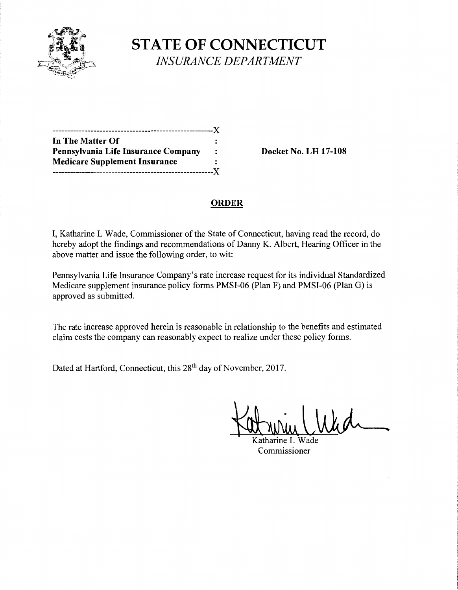

**STATE OF CONNECTICUT**  *INSURANCE DEPARTMENT* 

| --------------------------------X    |                      |
|--------------------------------------|----------------------|
| In The Matter Of                     |                      |
| Pennsylvania Life Insurance Company  | $\ddot{\phantom{a}}$ |
| <b>Medicare Supplement Insurance</b> |                      |
| -----------------------------X       |                      |

**Pennsylvania Life Insurance Company Docket** No. **LH 17-108** 

### **ORDER**

I, Katharine L Wade, Commissioner of the State of Connecticut, having read the record, do hereby adopt the findings and recommendations of Danny K. Albert, Hearing Officer in the above matter and issue the following order, to wit:

Pennsylvania Life Insurance Company's rate increase request for its individual Standardized Medicare supplement insurance policy forms PMSI-06 (Plan F) and PMSI-06 (Plan G) is approved as submitted.

The rate increase approved herein is reasonable in relationship to the benefits and estimated claim costs the company can reasonably expect to realize under these policy forms.

Dated at Hartford, Connecticut, this 28<sup>th</sup> day of November, 2017.

Katharine L Wade

Katharine L Wade Commissioner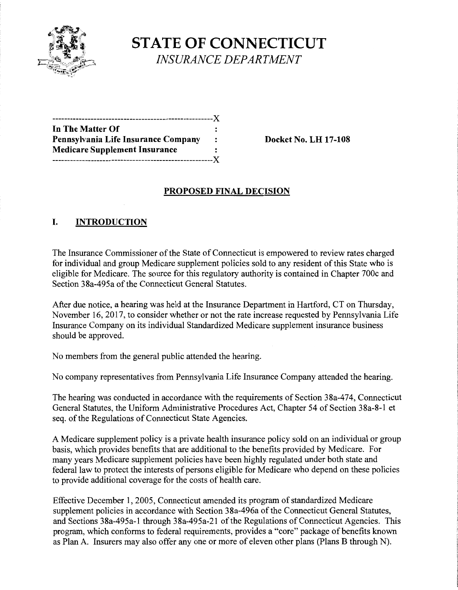

**STATE OF CONNECTICUT** ..  $INSURANCE DEPARTMENT$ 

| In The Matter Of                     |   |
|--------------------------------------|---|
| Pennsylvania Life Insurance Company  | : |
| <b>Medicare Supplement Insurance</b> |   |
|                                      |   |

**Pocket No. LH 17-108** 

# **PROPOSED FINAL DECISION**

### **I. INTRODUCTION**

The Insurance Commissioner of the State of Connecticut is empowered to review rates charged for individual and group Medicare supplement policies sold to any resident of this State who is eligible for Medicare. The source for this regulatory authority is contained in Chapter 700c and Section 38a-495a of the Connecticut General Statutes.

After due notice, a hearing was held at the Insurance Department in Hartford, CT on Thursday, November 16, 2017, to consider whether or not the rate increase requested by Pennsylvania Life Insurance Company on its individual Standardized Medicare supplement insurance business should be approved.

No members from the general public attended the hearing.

No company representatives from Pennsylvania Life Insurance Company attended the hearing.

The hearing was conducted in accordance with the requirements of Section 38a-474, Connecticut General Statutes, the Uniform Administrative Procedures Act, Chapter 54 of Section 38a-8-1 et seq. of the Regulations of Connecticut State Agencies.

A Medicare supplement policy is a private health insurance policy sold on an individual or group basis, which provides benefits that are additional to the benefits provided by Medicare. For many years Medicare supplement policies have been highly regulated under both state and federal law to protect the interests of persons eligible for Medicare who depend on these policies to provide additional coverage for the costs of health care.

Effective December 1, 2005, Connecticut amended its program of standardized Medicare supplement policies in accordance with Section 38a-496a of the Connecticut General Statutes, and Sections 38a-495a-1 through 38a-495a-21 of the Regulations of Connecticut Agencies. This program, which conforms to federal requirements, provides a "core" package of benefits known as Plan A. Insurers may also offer any one or more of eleven other plans (Plans B through N).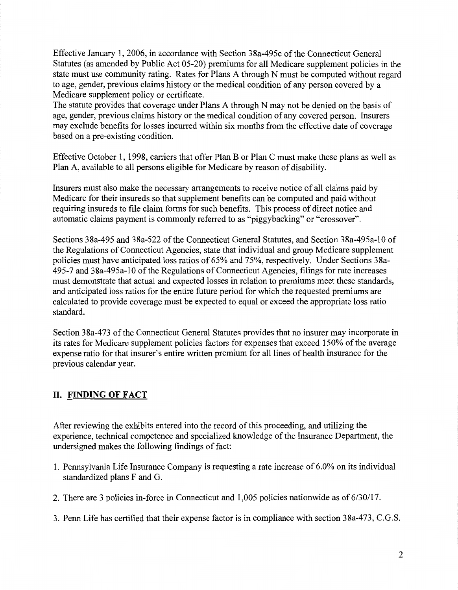Effective January 1, 2006, in accordance with Section 38a-495c of the Connecticut General Statutes (as amended by Public Act 05-20) premiums for all Medicare supplement policies in the state must use community rating. Rates for Plans A through N must be computed without regard to age, gender, previous claims history or the medical condition of any person covered by a Medicare supplement policy or certificate.

The statute provides that coverage under Plans A through N may not be denied on the basis of age, gender, previous claims history or the medical condition of any covered person. Insurers may exclude benefits for losses incurred within six months from the effective date of coverage based on a pre-existing condition.

Effective October 1, 1998, carriers that offer Plan B or Plan C must make these plans as well as Plan A, available to all persons eligible for Medicare by reason of disability.

Insurers must also make the necessary arrangements to receive notice of all claims paid by Medicare for their insureds so that supplement benefits can be computed and paid without requiring insureds to file claim forms for such benefits. This process of direct notice and automatic claims payment is commonly referred to as "piggybacking" or "crossover".

Sections 38a-495 and 38a-522 of the Connecticut General Statutes, and Section 38a-495a-10 of the Regulations of Connecticut Agencies, state that individual and group Medicare supplement policies must have anticipated loss ratios of 65% and 75%, respectively. Under Sections 38a-495-7 and 38a-495a-10 of the Regulations of Connecticut Agencies, filings for rate increases must demonstrate that actual and expected losses in relation to premiums meet these standards, and anticipated loss ratios for the entire future period for which the requested premiums are calculated to provide coverage must be expected to equal or exceed the appropriate loss ratio standard.

Section 38a-473 of the Connecticut General Statutes provides that no insurer may incorporate in its rates for Medicare supplement policies factors for expenses that exceed 150% of the average expense ratio for that insurer's entire written premium for all lines of health insurance for the previous calendar year.

#### **II. FINDING OF FACT**

After reviewing the exhibits entered into the record of this proceeding, and utilizing the experience, technical competence and specialized knowledge of the Insurance Department, the undersigned makes the following findings of fact:

- 1. Pennsylvania Life Insurance Company is requesting a rate increase of 6.0% on its individual standardized plans F and G.
- 2. There are 3 policies in-force in Connecticut and 1,005 policies nationwide as of 6/30117.
- 3. Penn Life has certified that their expense factor is in compliance with section 38a-473, C.G.S.